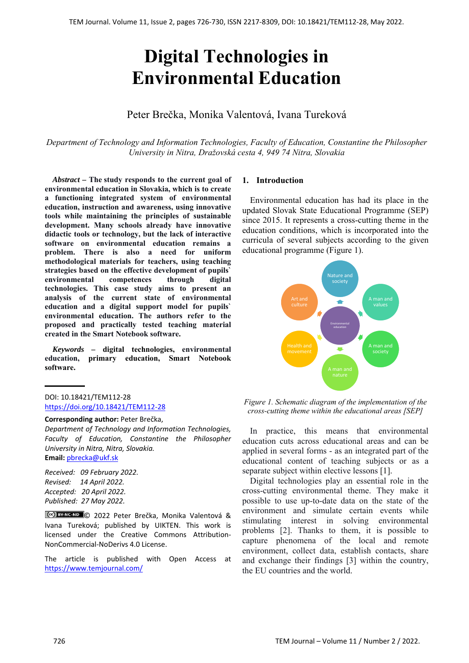# **Digital Technologies in Environmental Education**

## Peter Brečka, Monika Valentová, Ivana Tureková

*Department of Technology and Information Technologies, Faculty of Education, Constantine the Philosopher University in Nitra, Dražovská cesta 4, 949 74 Nitra, Slovakia* 

*Abstract –* **The study responds to the current goal of environmental education in Slovakia, which is to create a functioning integrated system of environmental education, instruction and awareness, using innovative tools while maintaining the principles of sustainable development. Many schools already have innovative didactic tools or technology, but the lack of interactive software on environmental education remains a problem. There is also a need for uniform methodological materials for teachers, using teaching strategies based on the effective development of pupils` environmental competences through digital technologies. This case study aims to present an analysis of the current state of environmental education and a digital support model for pupils` environmental education. The authors refer to the proposed and practically tested teaching material created in the Smart Notebook software.** 

*Keywords –* **digital technologies, environmental education, primary education, Smart Notebook software.** 

#### DOI: 10.18421/TEM112-28 [https://doi.org/10.18421/TEM112](https://doi.org/10.18421/TEM112-28)-28

#### **Corresponding author:** Peter Brečka,

*Department of Technology and Information Technologies, Faculty of Education, Constantine the Philosopher University in Nitra, Nitra, Slovakia.*  **Email:** pbrecka@ukf.sk

*Received: 09 February 2022. Revised: 14 April 2022. Accepted: 20 April 2022. Published: 27 May 2022.* 

© 2022 Peter Brečka, Monika Valentová & Ivana Tureková; published by UIKTEN. This work is licensed under the Creative Commons Attribution‐ NonCommercial‐NoDerivs 4.0 License.

The article is published with Open Access at https://www.temjournal.com/

## **1. Introduction**

Environmental education has had its place in the updated Slovak State Educational Programme (SEP) since 2015. It represents a cross-cutting theme in the education conditions, which is incorporated into the curricula of several subjects according to the given educational programme (Figure 1).



*Figure 1. Schematic diagram of the implementation of the cross-cutting theme within the educational areas [SEP]* 

In practice, this means that environmental education cuts across educational areas and can be applied in several forms - as an integrated part of the educational content of teaching subjects or as a separate subject within elective lessons [1].

Digital technologies play an essential role in the cross-cutting environmental theme. They make it possible to use up-to-date data on the state of the environment and simulate certain events while stimulating interest in solving environmental problems [2]. Thanks to them, it is possible to capture phenomena of the local and remote environment, collect data, establish contacts, share and exchange their findings [3] within the country, the EU countries and the world.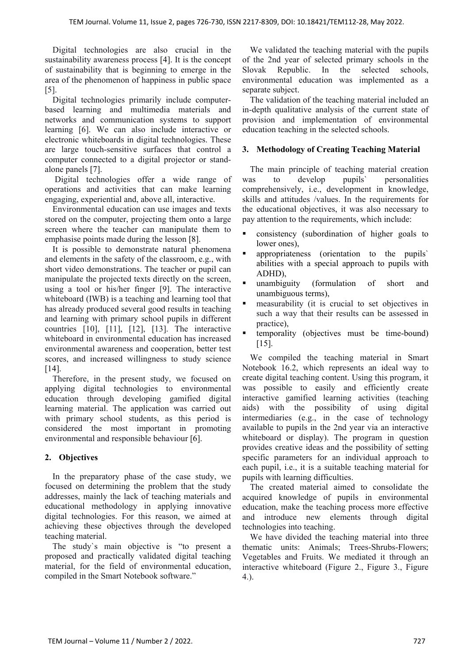Digital technologies are also crucial in the sustainability awareness process [4]. It is the concept of sustainability that is beginning to emerge in the area of the phenomenon of happiness in public space [5].

Digital technologies primarily include computerbased learning and multimedia materials and networks and communication systems to support learning [6]. We can also include interactive or electronic whiteboards in digital technologies. These are large touch-sensitive surfaces that control a computer connected to a digital projector or standalone panels [7].

Digital technologies offer a wide range of operations and activities that can make learning engaging, experiential and, above all, interactive.

Environmental education can use images and texts stored on the computer, projecting them onto a large screen where the teacher can manipulate them to emphasise points made during the lesson [8].

It is possible to demonstrate natural phenomena and elements in the safety of the classroom, e.g., with short video demonstrations. The teacher or pupil can manipulate the projected texts directly on the screen, using a tool or his/her finger [9]. The interactive whiteboard (IWB) is a teaching and learning tool that has already produced several good results in teaching and learning with primary school pupils in different countries [10], [11], [12], [13]. The interactive whiteboard in environmental education has increased environmental awareness and cooperation, better test scores, and increased willingness to study science [14].

Therefore, in the present study, we focused on applying digital technologies to environmental education through developing gamified digital learning material. The application was carried out with primary school students, as this period is considered the most important in promoting environmental and responsible behaviour [6].

## **2. Objectives**

In the preparatory phase of the case study, we focused on determining the problem that the study addresses, mainly the lack of teaching materials and educational methodology in applying innovative digital technologies. For this reason, we aimed at achieving these objectives through the developed teaching material.

The study`s main objective is "to present a proposed and practically validated digital teaching material, for the field of environmental education, compiled in the Smart Notebook software."

We validated the teaching material with the pupils of the 2nd year of selected primary schools in the Slovak Republic. In the selected schools, environmental education was implemented as a separate subject.

The validation of the teaching material included an in-depth qualitative analysis of the current state of provision and implementation of environmental education teaching in the selected schools.

## **3. Methodology of Creating Teaching Material**

The main principle of teaching material creation was to develop pupils` personalities comprehensively, i.e., development in knowledge, skills and attitudes /values. In the requirements for the educational objectives, it was also necessary to pay attention to the requirements, which include:

- consistency (subordination of higher goals to lower ones),
- appropriateness (orientation to the pupils` abilities with a special approach to pupils with ADHD),
- unambiguity (formulation of short and unambiguous terms),
- measurability (it is crucial to set objectives in such a way that their results can be assessed in practice),
- temporality (objectives must be time-bound) [15].

We compiled the teaching material in Smart Notebook 16.2, which represents an ideal way to create digital teaching content. Using this program, it was possible to easily and efficiently create interactive gamified learning activities (teaching aids) with the possibility of using digital intermediaries (e.g., in the case of technology available to pupils in the 2nd year via an interactive whiteboard or display). The program in question provides creative ideas and the possibility of setting specific parameters for an individual approach to each pupil, i.e., it is a suitable teaching material for pupils with learning difficulties.

The created material aimed to consolidate the acquired knowledge of pupils in environmental education, make the teaching process more effective and introduce new elements through digital technologies into teaching.

We have divided the teaching material into three thematic units: Animals; Trees-Shrubs-Flowers; Vegetables and Fruits. We mediated it through an interactive whiteboard (Figure 2., Figure 3., Figure 4.).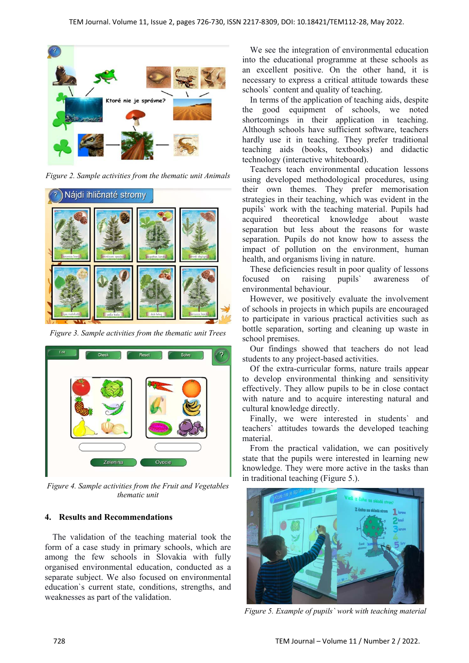

*Figure 2. Sample activities from the thematic unit Animals* 



*Figure 3. Sample activities from the thematic unit Trees* 



*Figure 4. Sample activities from the Fruit and Vegetables thematic unit* 

## **4. Results and Recommendations**

The validation of the teaching material took the form of a case study in primary schools, which are among the few schools in Slovakia with fully organised environmental education, conducted as a separate subject. We also focused on environmental education`s current state, conditions, strengths, and weaknesses as part of the validation.

We see the integration of environmental education into the educational programme at these schools as an excellent positive. On the other hand, it is necessary to express a critical attitude towards these schools` content and quality of teaching.

In terms of the application of teaching aids, despite the good equipment of schools, we noted shortcomings in their application in teaching. Although schools have sufficient software, teachers hardly use it in teaching. They prefer traditional teaching aids (books, textbooks) and didactic technology (interactive whiteboard).

Teachers teach environmental education lessons using developed methodological procedures, using their own themes. They prefer memorisation strategies in their teaching, which was evident in the pupils` work with the teaching material. Pupils had acquired theoretical knowledge about waste separation but less about the reasons for waste separation. Pupils do not know how to assess the impact of pollution on the environment, human health, and organisms living in nature.

These deficiencies result in poor quality of lessons focused on raising pupils` awareness of environmental behaviour.

However, we positively evaluate the involvement of schools in projects in which pupils are encouraged to participate in various practical activities such as bottle separation, sorting and cleaning up waste in school premises.

Our findings showed that teachers do not lead students to any project-based activities.

Of the extra-curricular forms, nature trails appear to develop environmental thinking and sensitivity effectively. They allow pupils to be in close contact with nature and to acquire interesting natural and cultural knowledge directly.

Finally, we were interested in students` and teachers` attitudes towards the developed teaching material.

From the practical validation, we can positively state that the pupils were interested in learning new knowledge. They were more active in the tasks than in traditional teaching (Figure 5.).



*Figure 5. Example of pupils` work with teaching material*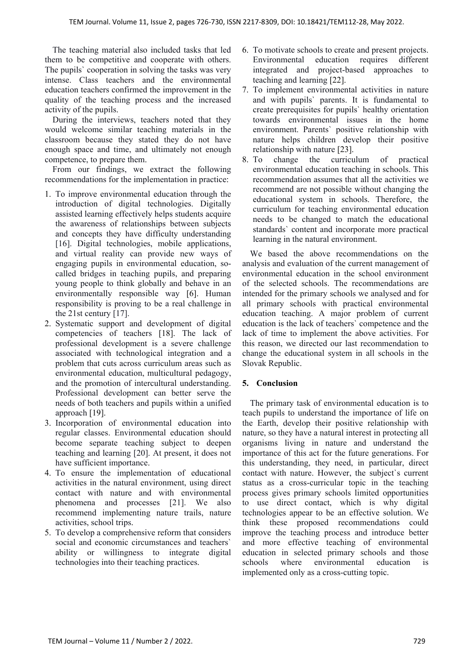The teaching material also included tasks that led them to be competitive and cooperate with others. The pupils` cooperation in solving the tasks was very intense. Class teachers and the environmental education teachers confirmed the improvement in the quality of the teaching process and the increased activity of the pupils.

During the interviews, teachers noted that they would welcome similar teaching materials in the classroom because they stated they do not have enough space and time, and ultimately not enough competence, to prepare them.

From our findings, we extract the following recommendations for the implementation in practice:

- 1. To improve environmental education through the introduction of digital technologies. Digitally assisted learning effectively helps students acquire the awareness of relationships between subjects and concepts they have difficulty understanding [16]. Digital technologies, mobile applications, and virtual reality can provide new ways of engaging pupils in environmental education, socalled bridges in teaching pupils, and preparing young people to think globally and behave in an environmentally responsible way [6]. Human responsibility is proving to be a real challenge in the 21st century [17].
- 2. Systematic support and development of digital competencies of teachers [18]. The lack of professional development is a severe challenge associated with technological integration and a problem that cuts across curriculum areas such as environmental education, multicultural pedagogy, and the promotion of intercultural understanding. Professional development can better serve the needs of both teachers and pupils within a unified approach [19].
- 3. Incorporation of environmental education into regular classes. Environmental education should become separate teaching subject to deepen teaching and learning [20]. At present, it does not have sufficient importance.
- 4. To ensure the implementation of educational activities in the natural environment, using direct contact with nature and with environmental phenomena and processes [21]. We also recommend implementing nature trails, nature activities, school trips.
- 5. To develop a comprehensive reform that considers social and economic circumstances and teachers` ability or willingness to integrate digital technologies into their teaching practices.
- 6. To motivate schools to create and present projects. Environmental education requires different integrated and project-based approaches to teaching and learning [22].
- 7. To implement environmental activities in nature and with pupils` parents. It is fundamental to create prerequisites for pupils` healthy orientation towards environmental issues in the home environment. Parents` positive relationship with nature helps children develop their positive relationship with nature [23].
- 8. To change the curriculum of practical environmental education teaching in schools. This recommendation assumes that all the activities we recommend are not possible without changing the educational system in schools. Therefore, the curriculum for teaching environmental education needs to be changed to match the educational standards` content and incorporate more practical learning in the natural environment.

We based the above recommendations on the analysis and evaluation of the current management of environmental education in the school environment of the selected schools. The recommendations are intended for the primary schools we analysed and for all primary schools with practical environmental education teaching. A major problem of current education is the lack of teachers` competence and the lack of time to implement the above activities. For this reason, we directed our last recommendation to change the educational system in all schools in the Slovak Republic.

## **5. Conclusion**

The primary task of environmental education is to teach pupils to understand the importance of life on the Earth, develop their positive relationship with nature, so they have a natural interest in protecting all organisms living in nature and understand the importance of this act for the future generations. For this understanding, they need, in particular, direct contact with nature. However, the subject`s current status as a cross-curricular topic in the teaching process gives primary schools limited opportunities to use direct contact, which is why digital technologies appear to be an effective solution. We think these proposed recommendations could improve the teaching process and introduce better and more effective teaching of environmental education in selected primary schools and those schools where environmental education is implemented only as a cross-cutting topic.